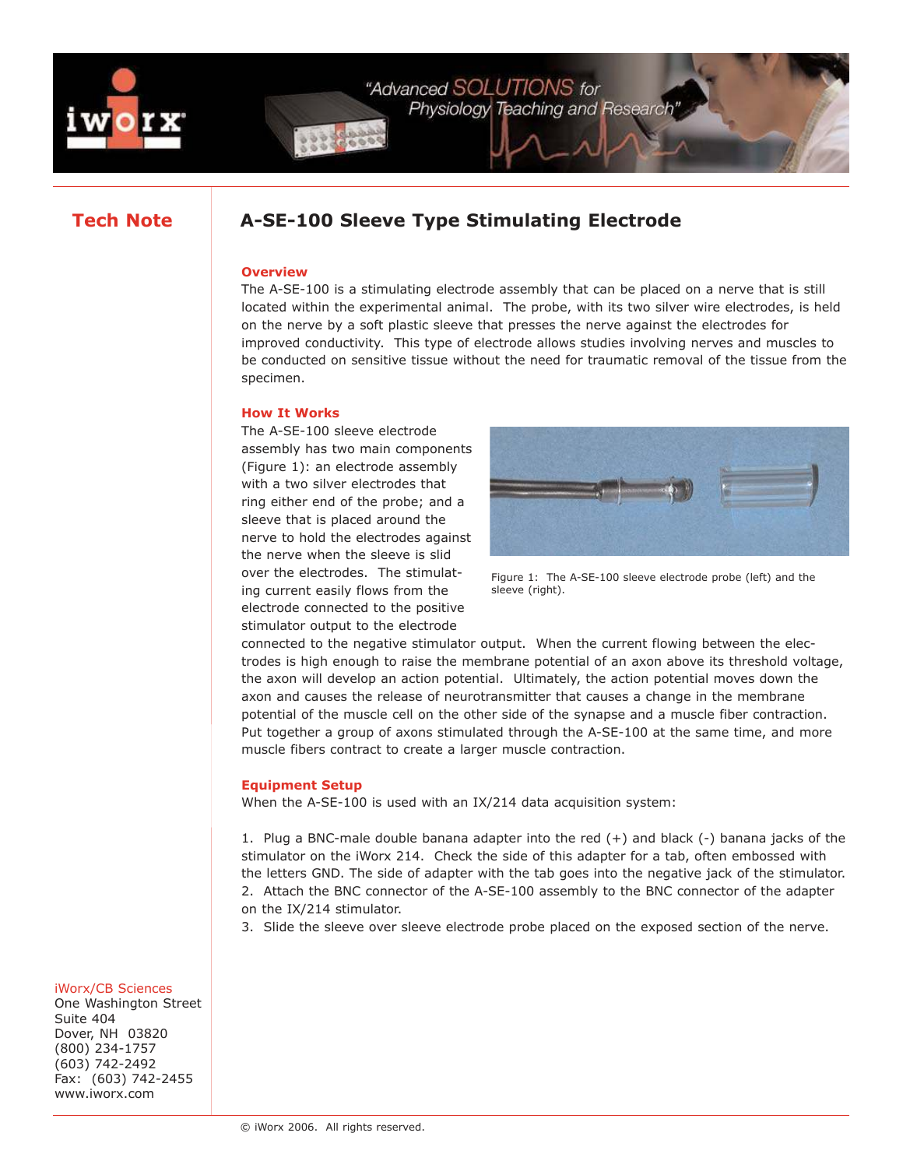

# **Tech Note A-SE-100 Sleeve Type Stimulating Electrode**

## **Overview**

The A-SE-100 is a stimulating electrode assembly that can be placed on a nerve that is still located within the experimental animal. The probe, with its two silver wire electrodes, is held on the nerve by a soft plastic sleeve that presses the nerve against the electrodes for improved conductivity. This type of electrode allows studies involving nerves and muscles to be conducted on sensitive tissue without the need for traumatic removal of the tissue from the specimen.

# **How It Works**

The A-SE-100 sleeve electrode assembly has two main components (Figure 1): an electrode assembly with a two silver electrodes that ring either end of the probe; and a sleeve that is placed around the nerve to hold the electrodes against the nerve when the sleeve is slid over the electrodes. The stimulating current easily flows from the electrode connected to the positive stimulator output to the electrode



Figure 1: The A-SE-100 sleeve electrode probe (left) and the sleeve (right).

connected to the negative stimulator output. When the current flowing between the electrodes is high enough to raise the membrane potential of an axon above its threshold voltage, the axon will develop an action potential. Ultimately, the action potential moves down the axon and causes the release of neurotransmitter that causes a change in the membrane potential of the muscle cell on the other side of the synapse and a muscle fiber contraction. Put together a group of axons stimulated through the A-SE-100 at the same time, and more muscle fibers contract to create a larger muscle contraction.

# **Equipment Setup**

When the A-SE-100 is used with an IX/214 data acquisition system:

1. Plug a BNC-male double banana adapter into the red (+) and black (-) banana jacks of the stimulator on the iWorx 214. Check the side of this adapter for a tab, often embossed with the letters GND. The side of adapter with the tab goes into the negative jack of the stimulator. 2. Attach the BNC connector of the A-SE-100 assembly to the BNC connector of the adapter on the IX/214 stimulator.

3. Slide the sleeve over sleeve electrode probe placed on the exposed section of the nerve.

#### iWorx/CB Sciences

One Washington Street Suite 404 Dover, NH 03820 (800) 234-1757 (603) 742-2492 Fax: (603) 742-2455 www.iworx.com